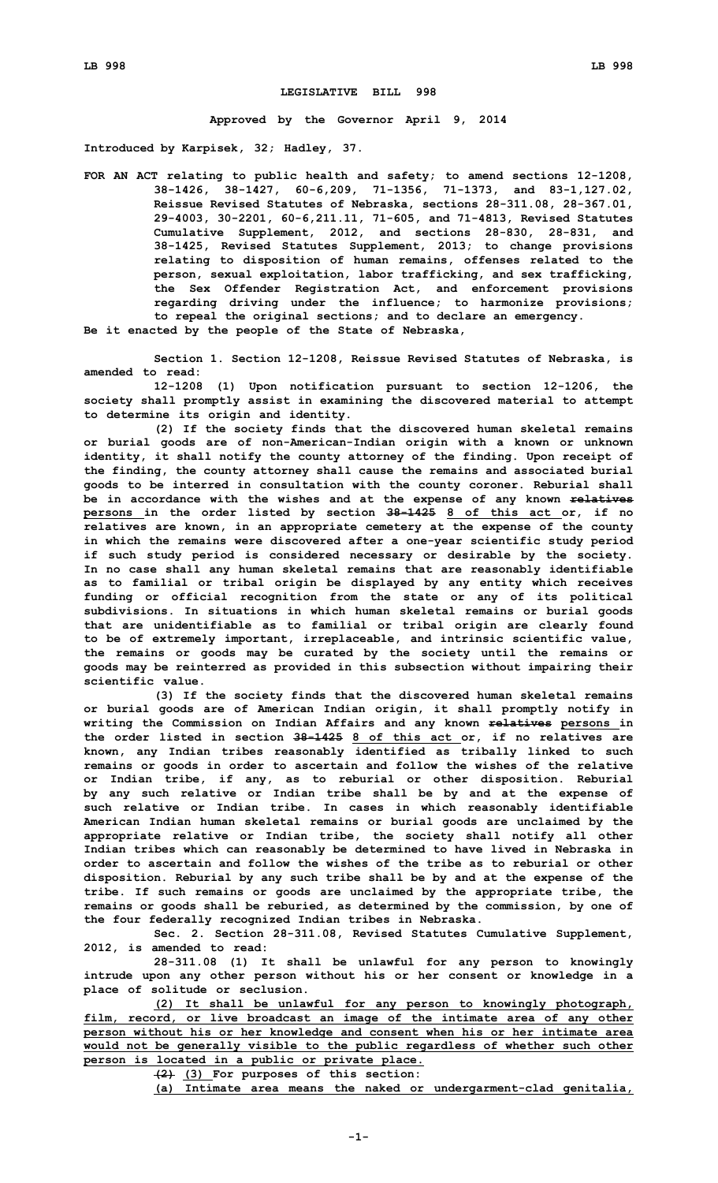## **LEGISLATIVE BILL 998**

**Approved by the Governor April 9, 2014**

**Introduced by Karpisek, 32; Hadley, 37.**

**FOR AN ACT relating to public health and safety; to amend sections 12-1208, 38-1426, 38-1427, 60-6,209, 71-1356, 71-1373, and 83-1,127.02, Reissue Revised Statutes of Nebraska, sections 28-311.08, 28-367.01, 29-4003, 30-2201, 60-6,211.11, 71-605, and 71-4813, Revised Statutes Cumulative Supplement, 2012, and sections 28-830, 28-831, and 38-1425, Revised Statutes Supplement, 2013; to change provisions relating to disposition of human remains, offenses related to the person, sexual exploitation, labor trafficking, and sex trafficking, the Sex Offender Registration Act, and enforcement provisions regarding driving under the influence; to harmonize provisions; to repeal the original sections; and to declare an emergency. Be it enacted by the people of the State of Nebraska,**

**Section 1. Section 12-1208, Reissue Revised Statutes of Nebraska, is amended to read:**

**12-1208 (1) Upon notification pursuant to section 12-1206, the society shall promptly assist in examining the discovered material to attempt to determine its origin and identity.**

**(2) If the society finds that the discovered human skeletal remains or burial goods are of non-American-Indian origin with <sup>a</sup> known or unknown identity, it shall notify the county attorney of the finding. Upon receipt of the finding, the county attorney shall cause the remains and associated burial goods to be interred in consultation with the county coroner. Reburial shall be in accordance with the wishes and at the expense of any known relatives persons in the order listed by section 38-1425 8 of this act or, if no relatives are known, in an appropriate cemetery at the expense of the county in which the remains were discovered after <sup>a</sup> one-year scientific study period if such study period is considered necessary or desirable by the society. In no case shall any human skeletal remains that are reasonably identifiable as to familial or tribal origin be displayed by any entity which receives funding or official recognition from the state or any of its political subdivisions. In situations in which human skeletal remains or burial goods that are unidentifiable as to familial or tribal origin are clearly found to be of extremely important, irreplaceable, and intrinsic scientific value, the remains or goods may be curated by the society until the remains or goods may be reinterred as provided in this subsection without impairing their scientific value.**

**(3) If the society finds that the discovered human skeletal remains or burial goods are of American Indian origin, it shall promptly notify in writing the Commission on Indian Affairs and any known relatives persons in the order listed in section 38-1425 8 of this act or, if no relatives are known, any Indian tribes reasonably identified as tribally linked to such remains or goods in order to ascertain and follow the wishes of the relative or Indian tribe, if any, as to reburial or other disposition. Reburial by any such relative or Indian tribe shall be by and at the expense of such relative or Indian tribe. In cases in which reasonably identifiable American Indian human skeletal remains or burial goods are unclaimed by the appropriate relative or Indian tribe, the society shall notify all other Indian tribes which can reasonably be determined to have lived in Nebraska in order to ascertain and follow the wishes of the tribe as to reburial or other disposition. Reburial by any such tribe shall be by and at the expense of the tribe. If such remains or goods are unclaimed by the appropriate tribe, the remains or goods shall be reburied, as determined by the commission, by one of the four federally recognized Indian tribes in Nebraska.**

**Sec. 2. Section 28-311.08, Revised Statutes Cumulative Supplement, 2012, is amended to read:**

**28-311.08 (1) It shall be unlawful for any person to knowingly intrude upon any other person without his or her consent or knowledge in <sup>a</sup> place of solitude or seclusion.**

**(2) It shall be unlawful for any person to knowingly photograph, film, record, or live broadcast an image of the intimate area of any other person without his or her knowledge and consent when his or her intimate area would not be generally visible to the public regardless of whether such other person is located in <sup>a</sup> public or private place.**

**(2) (3) For purposes of this section:**

**(a) Intimate area means the naked or undergarment-clad genitalia,**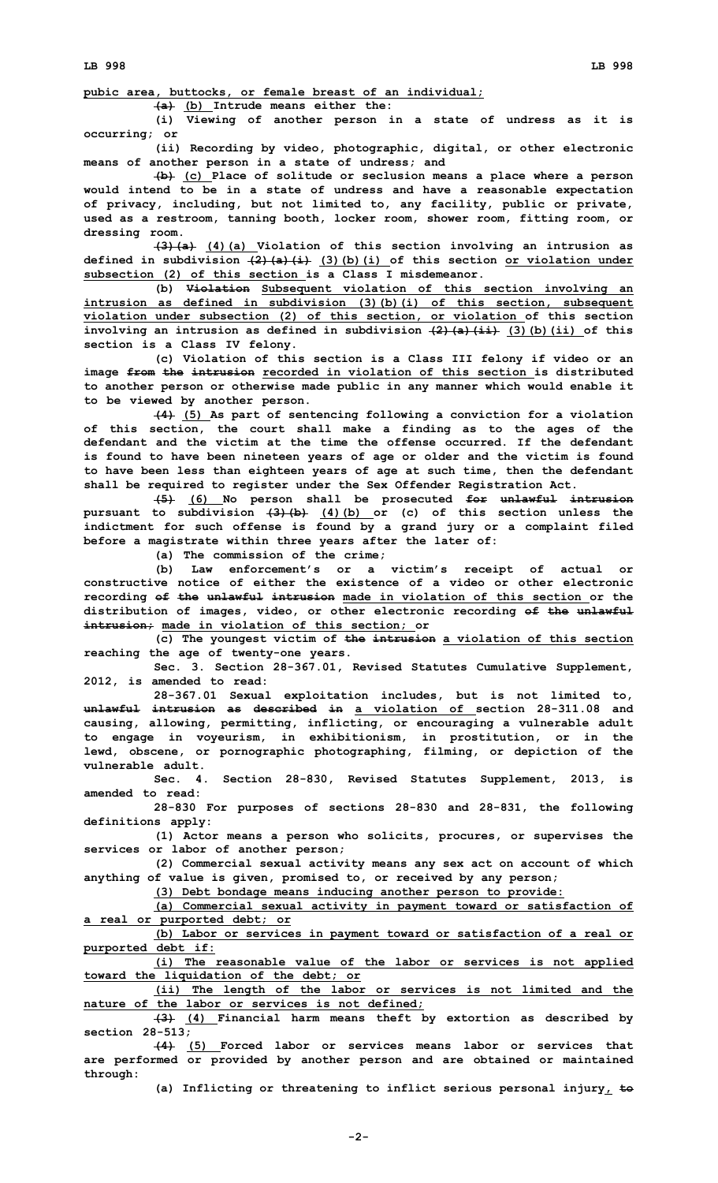**pubic area, buttocks, or female breast of an individual;**

**(a) (b) Intrude means either the:**

**(i) Viewing of another person in <sup>a</sup> state of undress as it is occurring; or**

**(ii) Recording by video, photographic, digital, or other electronic means of another person in <sup>a</sup> state of undress; and**

**(b) (c) Place of solitude or seclusion means <sup>a</sup> place where <sup>a</sup> person would intend to be in <sup>a</sup> state of undress and have <sup>a</sup> reasonable expectation of privacy, including, but not limited to, any facility, public or private, used as <sup>a</sup> restroom, tanning booth, locker room, shower room, fitting room, or dressing room.**

**(3)(a) (4)(a) Violation of this section involving an intrusion as defined in subdivision (2)(a)(i) (3)(b)(i) of this section or violation under subsection (2) of this section is <sup>a</sup> Class I misdemeanor.**

**(b) Violation Subsequent violation of this section involving an intrusion as defined in subdivision (3)(b)(i) of this section, subsequent violation under subsection (2) of this section, or violation of this section involving an intrusion as defined in subdivision (2)(a)(ii) (3)(b)(ii) of this section is <sup>a</sup> Class IV felony.**

**(c) Violation of this section is <sup>a</sup> Class III felony if video or an image from the intrusion recorded in violation of this section is distributed to another person or otherwise made public in any manner which would enable it to be viewed by another person.**

**(4) (5) As part of sentencing following <sup>a</sup> conviction for <sup>a</sup> violation of this section, the court shall make <sup>a</sup> finding as to the ages of the defendant and the victim at the time the offense occurred. If the defendant is found to have been nineteen years of age or older and the victim is found to have been less than eighteen years of age at such time, then the defendant shall be required to register under the Sex Offender Registration Act.**

**(5) (6) No person shall be prosecuted for unlawful intrusion pursuant to subdivision (3)(b) (4)(b) or (c) of this section unless the indictment for such offense is found by <sup>a</sup> grand jury or <sup>a</sup> complaint filed before <sup>a</sup> magistrate within three years after the later of:**

**(a) The commission of the crime;**

**(b) Law enforcement's or <sup>a</sup> victim's receipt of actual or constructive notice of either the existence of a video or other electronic recording of the unlawful intrusion made in violation of this section or the distribution of images, video, or other electronic recording of the unlawful intrusion; made in violation of this section; or**

**(c) The youngest victim of the intrusion <sup>a</sup> violation of this section reaching the age of twenty-one years.**

**Sec. 3. Section 28-367.01, Revised Statutes Cumulative Supplement, 2012, is amended to read:**

**28-367.01 Sexual exploitation includes, but is not limited to, unlawful intrusion as described in a violation of section 28-311.08 and causing, allowing, permitting, inflicting, or encouraging <sup>a</sup> vulnerable adult to engage in voyeurism, in exhibitionism, in prostitution, or in the lewd, obscene, or pornographic photographing, filming, or depiction of the vulnerable adult.**

**Sec. 4. Section 28-830, Revised Statutes Supplement, 2013, is amended to read:**

**28-830 For purposes of sections 28-830 and 28-831, the following definitions apply:**

**(1) Actor means <sup>a</sup> person who solicits, procures, or supervises the services or labor of another person;**

**(2) Commercial sexual activity means any sex act on account of which anything of value is given, promised to, or received by any person;**

**(3) Debt bondage means inducing another person to provide:**

**(a) Commercial sexual activity in payment toward or satisfaction of <sup>a</sup> real or purported debt; or**

**(b) Labor or services in payment toward or satisfaction of <sup>a</sup> real or purported debt if:**

**(i) The reasonable value of the labor or services is not applied toward the liquidation of the debt; or**

**(ii) The length of the labor or services is not limited and the nature of the labor or services is not defined;**

**(3) (4) Financial harm means theft by extortion as described by section 28-513;**

**(4) (5) Forced labor or services means labor or services that are performed or provided by another person and are obtained or maintained through:**

**(a) Inflicting or threatening to inflict serious personal injury, to**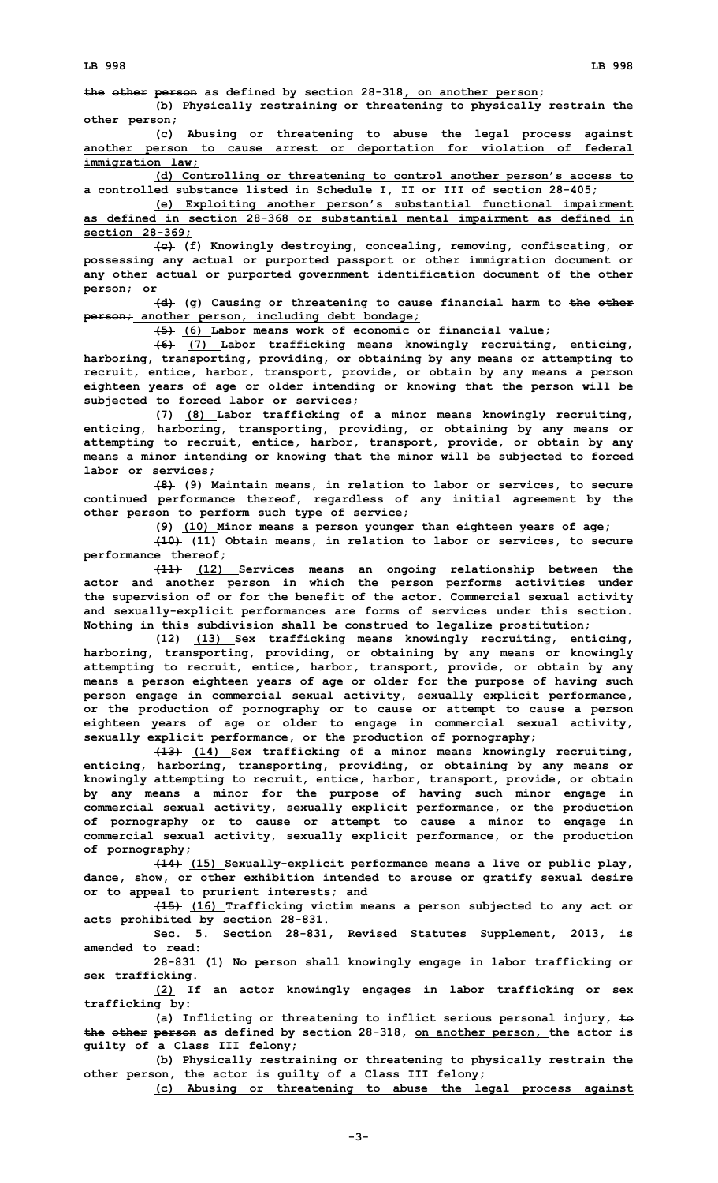**the other person as defined by section 28-318, on another person;**

**(b) Physically restraining or threatening to physically restrain the other person;**

**(c) Abusing or threatening to abuse the legal process against another person to cause arrest or deportation for violation of federal immigration law;**

**(d) Controlling or threatening to control another person's access to <sup>a</sup> controlled substance listed in Schedule I, II or III of section 28-405;**

**(e) Exploiting another person's substantial functional impairment as defined in section 28-368 or substantial mental impairment as defined in section 28-369;**

**(c) (f) Knowingly destroying, concealing, removing, confiscating, or possessing any actual or purported passport or other immigration document or any other actual or purported government identification document of the other person; or**

**(d) (g) Causing or threatening to cause financial harm to the other person; another person, including debt bondage;**

**(5) (6) Labor means work of economic or financial value;**

**(6) (7) Labor trafficking means knowingly recruiting, enticing, harboring, transporting, providing, or obtaining by any means or attempting to recruit, entice, harbor, transport, provide, or obtain by any means <sup>a</sup> person eighteen years of age or older intending or knowing that the person will be subjected to forced labor or services;**

**(7) (8) Labor trafficking of <sup>a</sup> minor means knowingly recruiting, enticing, harboring, transporting, providing, or obtaining by any means or attempting to recruit, entice, harbor, transport, provide, or obtain by any means <sup>a</sup> minor intending or knowing that the minor will be subjected to forced labor or services;**

**(8) (9) Maintain means, in relation to labor or services, to secure continued performance thereof, regardless of any initial agreement by the other person to perform such type of service;**

**(9) (10) Minor means <sup>a</sup> person younger than eighteen years of age;**

**(10) (11) Obtain means, in relation to labor or services, to secure performance thereof;**

**(11) (12) Services means an ongoing relationship between the actor and another person in which the person performs activities under the supervision of or for the benefit of the actor. Commercial sexual activity and sexually-explicit performances are forms of services under this section. Nothing in this subdivision shall be construed to legalize prostitution;**

**(12) (13) Sex trafficking means knowingly recruiting, enticing, harboring, transporting, providing, or obtaining by any means or knowingly attempting to recruit, entice, harbor, transport, provide, or obtain by any means <sup>a</sup> person eighteen years of age or older for the purpose of having such person engage in commercial sexual activity, sexually explicit performance, or the production of pornography or to cause or attempt to cause <sup>a</sup> person eighteen years of age or older to engage in commercial sexual activity, sexually explicit performance, or the production of pornography;**

**(13) (14) Sex trafficking of <sup>a</sup> minor means knowingly recruiting, enticing, harboring, transporting, providing, or obtaining by any means or knowingly attempting to recruit, entice, harbor, transport, provide, or obtain by any means <sup>a</sup> minor for the purpose of having such minor engage in commercial sexual activity, sexually explicit performance, or the production of pornography or to cause or attempt to cause <sup>a</sup> minor to engage in commercial sexual activity, sexually explicit performance, or the production of pornography;**

**(14) (15) Sexually-explicit performance means <sup>a</sup> live or public play, dance, show, or other exhibition intended to arouse or gratify sexual desire or to appeal to prurient interests; and**

**(15) (16) Trafficking victim means <sup>a</sup> person subjected to any act or acts prohibited by section 28-831.**

**Sec. 5. Section 28-831, Revised Statutes Supplement, 2013, is amended to read:**

**28-831 (1) No person shall knowingly engage in labor trafficking or sex trafficking.**

**(2) If an actor knowingly engages in labor trafficking or sex trafficking by:**

**(a) Inflicting or threatening to inflict serious personal injury, to the other person as defined by section 28-318, on another person, the actor is guilty of <sup>a</sup> Class III felony;**

**(b) Physically restraining or threatening to physically restrain the other person, the actor is guilty of <sup>a</sup> Class III felony;**

**(c) Abusing or threatening to abuse the legal process against**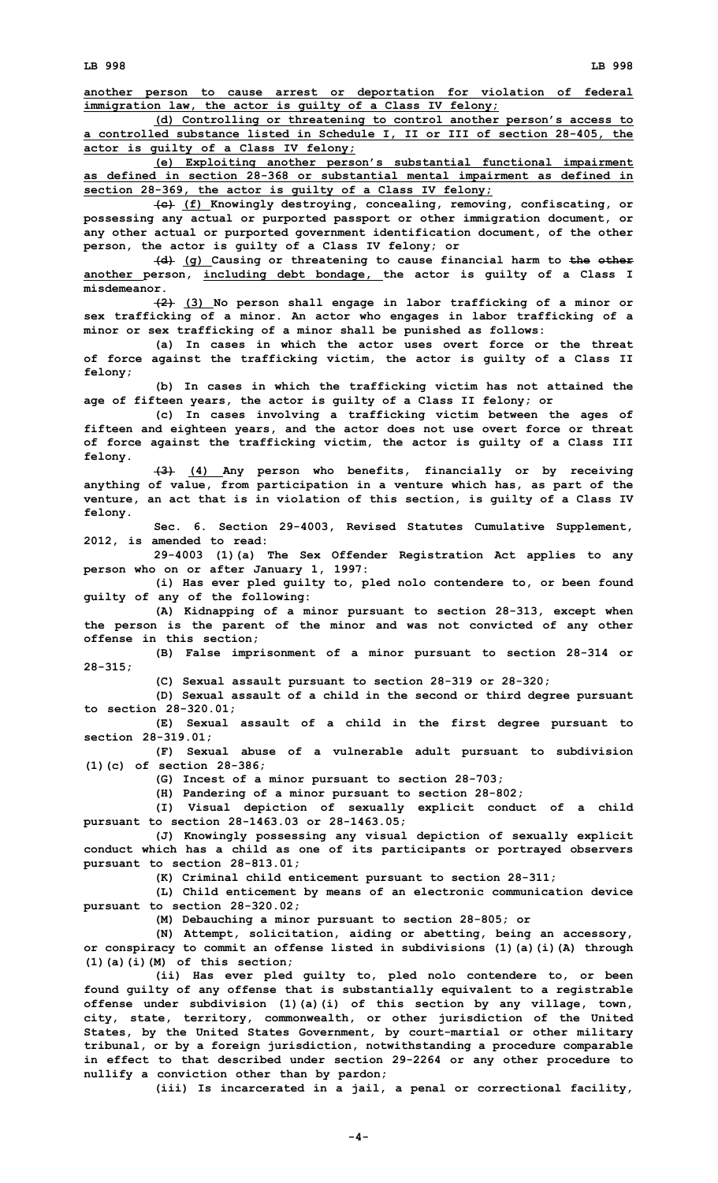**another person to cause arrest or deportation for violation of federal immigration law, the actor is guilty of <sup>a</sup> Class IV felony;**

**(d) Controlling or threatening to control another person's access to <sup>a</sup> controlled substance listed in Schedule I, II or III of section 28-405, the actor is guilty of <sup>a</sup> Class IV felony;**

**(e) Exploiting another person's substantial functional impairment as defined in section 28-368 or substantial mental impairment as defined in section 28-369, the actor is guilty of <sup>a</sup> Class IV felony;**

**(c) (f) Knowingly destroying, concealing, removing, confiscating, or possessing any actual or purported passport or other immigration document, or any other actual or purported government identification document, of the other person, the actor is guilty of <sup>a</sup> Class IV felony; or**

**(d) (g) Causing or threatening to cause financial harm to the other another person, including debt bondage, the actor is guilty of <sup>a</sup> Class I misdemeanor.**

**(2) (3) No person shall engage in labor trafficking of <sup>a</sup> minor or sex trafficking of <sup>a</sup> minor. An actor who engages in labor trafficking of <sup>a</sup> minor or sex trafficking of <sup>a</sup> minor shall be punished as follows:**

**(a) In cases in which the actor uses overt force or the threat of force against the trafficking victim, the actor is guilty of <sup>a</sup> Class II felony;**

**(b) In cases in which the trafficking victim has not attained the age of fifteen years, the actor is guilty of <sup>a</sup> Class II felony; or**

**(c) In cases involving <sup>a</sup> trafficking victim between the ages of fifteen and eighteen years, and the actor does not use overt force or threat of force against the trafficking victim, the actor is guilty of <sup>a</sup> Class III felony.**

**(3) (4) Any person who benefits, financially or by receiving anything of value, from participation in <sup>a</sup> venture which has, as part of the venture, an act that is in violation of this section, is guilty of <sup>a</sup> Class IV felony.**

**Sec. 6. Section 29-4003, Revised Statutes Cumulative Supplement, 2012, is amended to read:**

**29-4003 (1)(a) The Sex Offender Registration Act applies to any person who on or after January 1, 1997:**

**(i) Has ever pled guilty to, pled nolo contendere to, or been found guilty of any of the following:**

**(A) Kidnapping of <sup>a</sup> minor pursuant to section 28-313, except when the person is the parent of the minor and was not convicted of any other offense in this section;**

**(B) False imprisonment of <sup>a</sup> minor pursuant to section 28-314 or 28-315;**

**(C) Sexual assault pursuant to section 28-319 or 28-320;**

**(D) Sexual assault of <sup>a</sup> child in the second or third degree pursuant to section 28-320.01;**

**(E) Sexual assault of <sup>a</sup> child in the first degree pursuant to section 28-319.01;**

**(F) Sexual abuse of <sup>a</sup> vulnerable adult pursuant to subdivision (1)(c) of section 28-386;**

**(G) Incest of <sup>a</sup> minor pursuant to section 28-703;**

**(H) Pandering of <sup>a</sup> minor pursuant to section 28-802;**

**(I) Visual depiction of sexually explicit conduct of <sup>a</sup> child pursuant to section 28-1463.03 or 28-1463.05;**

**(J) Knowingly possessing any visual depiction of sexually explicit conduct which has <sup>a</sup> child as one of its participants or portrayed observers pursuant to section 28-813.01;**

**(K) Criminal child enticement pursuant to section 28-311;**

**(L) Child enticement by means of an electronic communication device pursuant to section 28-320.02;**

**(M) Debauching <sup>a</sup> minor pursuant to section 28-805; or**

**(N) Attempt, solicitation, aiding or abetting, being an accessory, or conspiracy to commit an offense listed in subdivisions (1)(a)(i)(A) through (1)(a)(i)(M) of this section;**

**(ii) Has ever pled guilty to, pled nolo contendere to, or been found guilty of any offense that is substantially equivalent to <sup>a</sup> registrable offense under subdivision (1)(a)(i) of this section by any village, town, city, state, territory, commonwealth, or other jurisdiction of the United States, by the United States Government, by court-martial or other military tribunal, or by <sup>a</sup> foreign jurisdiction, notwithstanding <sup>a</sup> procedure comparable in effect to that described under section 29-2264 or any other procedure to nullify <sup>a</sup> conviction other than by pardon;**

**(iii) Is incarcerated in <sup>a</sup> jail, <sup>a</sup> penal or correctional facility,**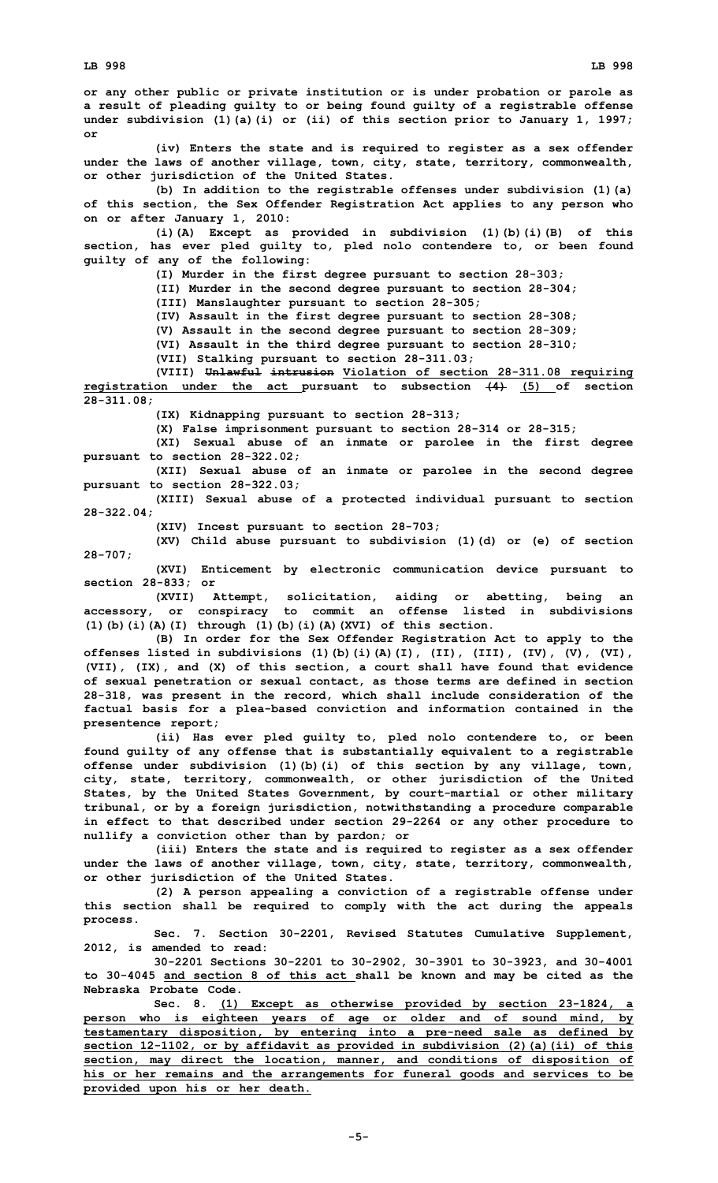**(iv) Enters the state and is required to register as <sup>a</sup> sex offender under the laws of another village, town, city, state, territory, commonwealth, or other jurisdiction of the United States.**

**(b) In addition to the registrable offenses under subdivision (1)(a) of this section, the Sex Offender Registration Act applies to any person who on or after January 1, 2010:**

**(i)(A) Except as provided in subdivision (1)(b)(i)(B) of this section, has ever pled guilty to, pled nolo contendere to, or been found guilty of any of the following:**

**(I) Murder in the first degree pursuant to section 28-303;**

**(II) Murder in the second degree pursuant to section 28-304;**

**(III) Manslaughter pursuant to section 28-305;**

**(IV) Assault in the first degree pursuant to section 28-308;**

**(V) Assault in the second degree pursuant to section 28-309;**

**(VI) Assault in the third degree pursuant to section 28-310;**

**(VII) Stalking pursuant to section 28-311.03;**

**(VIII) Unlawful intrusion Violation of section 28-311.08 requiring registration under the act pursuant to subsection (4) (5) of section 28-311.08;**

**(IX) Kidnapping pursuant to section 28-313;**

**(X) False imprisonment pursuant to section 28-314 or 28-315;**

**(XI) Sexual abuse of an inmate or parolee in the first degree pursuant to section 28-322.02;**

**(XII) Sexual abuse of an inmate or parolee in the second degree pursuant to section 28-322.03;**

**(XIII) Sexual abuse of <sup>a</sup> protected individual pursuant to section 28-322.04;**

**(XIV) Incest pursuant to section 28-703;**

**(XV) Child abuse pursuant to subdivision (1)(d) or (e) of section 28-707;**

**(XVI) Enticement by electronic communication device pursuant to section 28-833; or**

**(XVII) Attempt, solicitation, aiding or abetting, being an accessory, or conspiracy to commit an offense listed in subdivisions (1)(b)(i)(A)(I) through (1)(b)(i)(A)(XVI) of this section.**

**(B) In order for the Sex Offender Registration Act to apply to the offenses listed in subdivisions (1)(b)(i)(A)(I), (II), (III), (IV), (V), (VI), (VII), (IX), and (X) of this section, <sup>a</sup> court shall have found that evidence of sexual penetration or sexual contact, as those terms are defined in section 28-318, was present in the record, which shall include consideration of the factual basis for <sup>a</sup> plea-based conviction and information contained in the presentence report;**

**(ii) Has ever pled guilty to, pled nolo contendere to, or been found guilty of any offense that is substantially equivalent to <sup>a</sup> registrable offense under subdivision (1)(b)(i) of this section by any village, town, city, state, territory, commonwealth, or other jurisdiction of the United States, by the United States Government, by court-martial or other military tribunal, or by <sup>a</sup> foreign jurisdiction, notwithstanding <sup>a</sup> procedure comparable in effect to that described under section 29-2264 or any other procedure to nullify <sup>a</sup> conviction other than by pardon; or**

**(iii) Enters the state and is required to register as <sup>a</sup> sex offender under the laws of another village, town, city, state, territory, commonwealth, or other jurisdiction of the United States.**

**(2) <sup>A</sup> person appealing <sup>a</sup> conviction of <sup>a</sup> registrable offense under this section shall be required to comply with the act during the appeals process.**

**Sec. 7. Section 30-2201, Revised Statutes Cumulative Supplement, 2012, is amended to read:**

**30-2201 Sections 30-2201 to 30-2902, 30-3901 to 30-3923, and 30-4001 to 30-4045 and section 8 of this act shall be known and may be cited as the Nebraska Probate Code.**

**Sec. 8. (1) Except as otherwise provided by section 23-1824, <sup>a</sup> person who is eighteen years of age or older and of sound mind, by testamentary disposition, by entering into <sup>a</sup> pre-need sale as defined by section 12-1102, or by affidavit as provided in subdivision (2)(a)(ii) of this section, may direct the location, manner, and conditions of disposition of his or her remains and the arrangements for funeral goods and services to be provided upon his or her death.**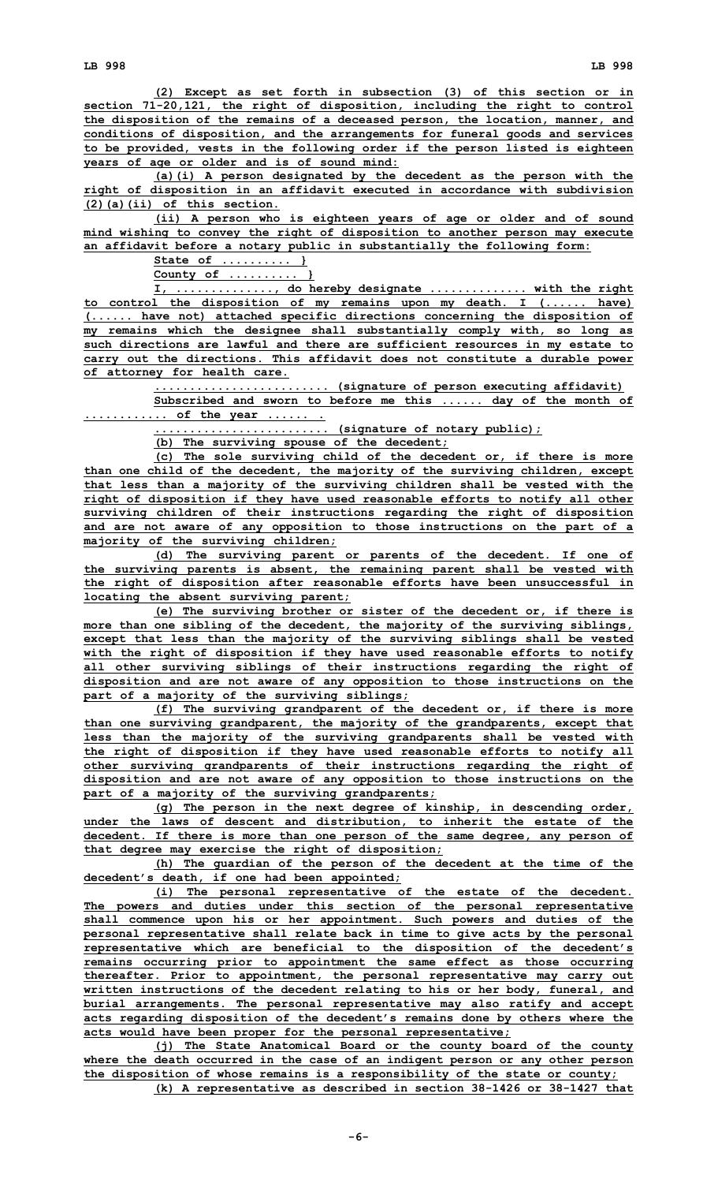**(2) Except as set forth in subsection (3) of this section or in section 71-20,121, the right of disposition, including the right to control the disposition of the remains of <sup>a</sup> deceased person, the location, manner, and conditions of disposition, and the arrangements for funeral goods and services to be provided, vests in the following order if the person listed is eighteen years of age or older and is of sound mind:**

**(a)(i) <sup>A</sup> person designated by the decedent as the person with the right of disposition in an affidavit executed in accordance with subdivision (2)(a)(ii) of this section.**

**(ii) <sup>A</sup> person who is eighteen years of age or older and of sound mind wishing to convey the right of disposition to another person may execute an affidavit before <sup>a</sup> notary public in substantially the following form:**

**State of .......... }**

**County of .......... }**

**I, .............., do hereby designate .............. with the right to control the disposition of my remains upon my death. <sup>I</sup> (...... have) (...... have not) attached specific directions concerning the disposition of my remains which the designee shall substantially comply with, so long as such directions are lawful and there are sufficient resources in my estate to carry out the directions. This affidavit does not constitute <sup>a</sup> durable power of attorney for health care.**

**......................... (signature of person executing affidavit)**

**Subscribed and sworn to before me this ...... day of the month of ............ of the year ...... .**

**......................... (signature of notary public);**

**(b) The surviving spouse of the decedent;**

**(c) The sole surviving child of the decedent or, if there is more than one child of the decedent, the majority of the surviving children, except that less than <sup>a</sup> majority of the surviving children shall be vested with the right of disposition if they have used reasonable efforts to notify all other surviving children of their instructions regarding the right of disposition and are not aware of any opposition to those instructions on the part of <sup>a</sup> majority of the surviving children;**

**(d) The surviving parent or parents of the decedent. If one of the surviving parents is absent, the remaining parent shall be vested with the right of disposition after reasonable efforts have been unsuccessful in locating the absent surviving parent;**

**(e) The surviving brother or sister of the decedent or, if there is more than one sibling of the decedent, the majority of the surviving siblings, except that less than the majority of the surviving siblings shall be vested with the right of disposition if they have used reasonable efforts to notify all other surviving siblings of their instructions regarding the right of disposition and are not aware of any opposition to those instructions on the part of <sup>a</sup> majority of the surviving siblings;**

**(f) The surviving grandparent of the decedent or, if there is more than one surviving grandparent, the majority of the grandparents, except that less than the majority of the surviving grandparents shall be vested with the right of disposition if they have used reasonable efforts to notify all other surviving grandparents of their instructions regarding the right of disposition and are not aware of any opposition to those instructions on the part of <sup>a</sup> majority of the surviving grandparents;**

**(g) The person in the next degree of kinship, in descending order, under the laws of descent and distribution, to inherit the estate of the decedent. If there is more than one person of the same degree, any person of that degree may exercise the right of disposition;**

**(h) The guardian of the person of the decedent at the time of the decedent's death, if one had been appointed;**

**(i) The personal representative of the estate of the decedent. The powers and duties under this section of the personal representative shall commence upon his or her appointment. Such powers and duties of the personal representative shall relate back in time to give acts by the personal representative which are beneficial to the disposition of the decedent's remains occurring prior to appointment the same effect as those occurring thereafter. Prior to appointment, the personal representative may carry out written instructions of the decedent relating to his or her body, funeral, and burial arrangements. The personal representative may also ratify and accept acts regarding disposition of the decedent's remains done by others where the acts would have been proper for the personal representative;**

**(j) The State Anatomical Board or the county board of the county where the death occurred in the case of an indigent person or any other person the disposition of whose remains is <sup>a</sup> responsibility of the state or county; (k) <sup>A</sup> representative as described in section 38-1426 or 38-1427 that**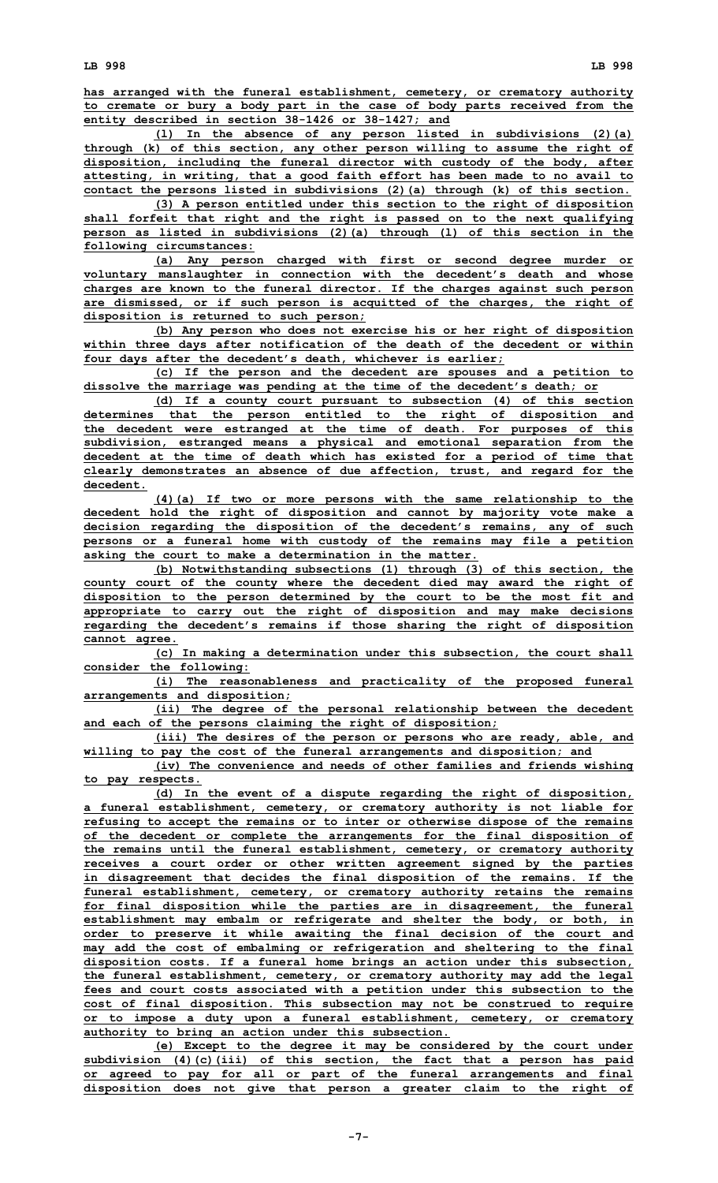**has arranged with the funeral establishment, cemetery, or crematory authority to cremate or bury <sup>a</sup> body part in the case of body parts received from the entity described in section 38-1426 or 38-1427; and**

**(l) In the absence of any person listed in subdivisions (2)(a) through (k) of this section, any other person willing to assume the right of disposition, including the funeral director with custody of the body, after attesting, in writing, that <sup>a</sup> good faith effort has been made to no avail to contact the persons listed in subdivisions (2)(a) through (k) of this section.**

**(3) <sup>A</sup> person entitled under this section to the right of disposition shall forfeit that right and the right is passed on to the next qualifying person as listed in subdivisions (2)(a) through (l) of this section in the following circumstances:**

**(a) Any person charged with first or second degree murder or voluntary manslaughter in connection with the decedent's death and whose charges are known to the funeral director. If the charges against such person are dismissed, or if such person is acquitted of the charges, the right of disposition is returned to such person;**

**(b) Any person who does not exercise his or her right of disposition within three days after notification of the death of the decedent or within four days after the decedent's death, whichever is earlier;**

**(c) If the person and the decedent are spouses and <sup>a</sup> petition to dissolve the marriage was pending at the time of the decedent's death; or**

**(d) If <sup>a</sup> county court pursuant to subsection (4) of this section determines that the person entitled to the right of disposition and the decedent were estranged at the time of death. For purposes of this subdivision, estranged means <sup>a</sup> physical and emotional separation from the decedent at the time of death which has existed for <sup>a</sup> period of time that clearly demonstrates an absence of due affection, trust, and regard for the decedent.**

**(4)(a) If two or more persons with the same relationship to the decedent hold the right of disposition and cannot by majority vote make <sup>a</sup> decision regarding the disposition of the decedent's remains, any of such persons or <sup>a</sup> funeral home with custody of the remains may file <sup>a</sup> petition asking the court to make <sup>a</sup> determination in the matter.**

**(b) Notwithstanding subsections (1) through (3) of this section, the county court of the county where the decedent died may award the right of disposition to the person determined by the court to be the most fit and appropriate to carry out the right of disposition and may make decisions regarding the decedent's remains if those sharing the right of disposition cannot agree.**

**(c) In making <sup>a</sup> determination under this subsection, the court shall consider the following:**

**(i) The reasonableness and practicality of the proposed funeral arrangements and disposition;**

**(ii) The degree of the personal relationship between the decedent and each of the persons claiming the right of disposition;**

**(iii) The desires of the person or persons who are ready, able, and willing to pay the cost of the funeral arrangements and disposition; and**

**(iv) The convenience and needs of other families and friends wishing to pay respects.**

**(d) In the event of <sup>a</sup> dispute regarding the right of disposition, <sup>a</sup> funeral establishment, cemetery, or crematory authority is not liable for refusing to accept the remains or to inter or otherwise dispose of the remains of the decedent or complete the arrangements for the final disposition of the remains until the funeral establishment, cemetery, or crematory authority receives <sup>a</sup> court order or other written agreement signed by the parties in disagreement that decides the final disposition of the remains. If the funeral establishment, cemetery, or crematory authority retains the remains for final disposition while the parties are in disagreement, the funeral establishment may embalm or refrigerate and shelter the body, or both, in order to preserve it while awaiting the final decision of the court and may add the cost of embalming or refrigeration and sheltering to the final disposition costs. If <sup>a</sup> funeral home brings an action under this subsection, the funeral establishment, cemetery, or crematory authority may add the legal fees and court costs associated with <sup>a</sup> petition under this subsection to the cost of final disposition. This subsection may not be construed to require or to impose <sup>a</sup> duty upon <sup>a</sup> funeral establishment, cemetery, or crematory authority to bring an action under this subsection.**

**(e) Except to the degree it may be considered by the court under subdivision (4)(c)(iii) of this section, the fact that <sup>a</sup> person has paid or agreed to pay for all or part of the funeral arrangements and final disposition does not give that person <sup>a</sup> greater claim to the right of**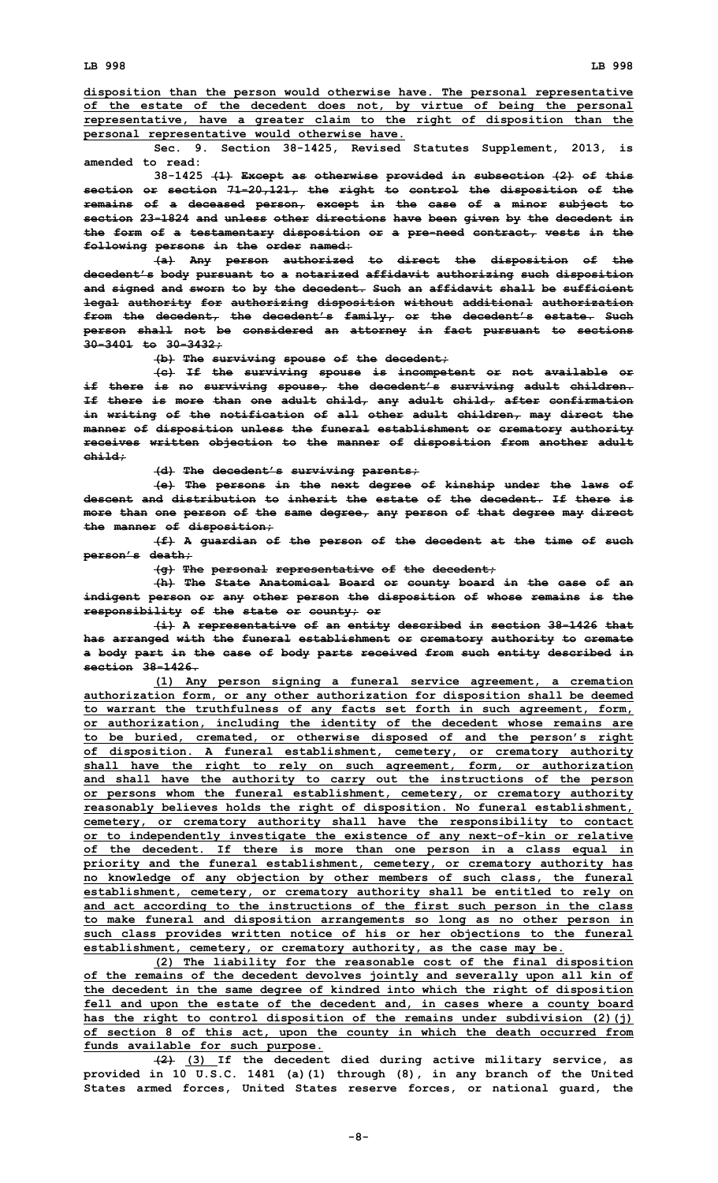**disposition than the person would otherwise have. The personal representative of the estate of the decedent does not, by virtue of being the personal representative, have <sup>a</sup> greater claim to the right of disposition than the personal representative would otherwise have.**

**Sec. 9. Section 38-1425, Revised Statutes Supplement, 2013, is amended to read:**

**38-1425 (1) Except as otherwise provided in subsection (2) of this section or section 71-20,121, the right to control the disposition of the remains of <sup>a</sup> deceased person, except in the case of <sup>a</sup> minor subject to section 23-1824 and unless other directions have been given by the decedent in the form of <sup>a</sup> testamentary disposition or <sup>a</sup> pre-need contract, vests in the following persons in the order named:**

**(a) Any person authorized to direct the disposition of the decedent's body pursuant to <sup>a</sup> notarized affidavit authorizing such disposition and signed and sworn to by the decedent. Such an affidavit shall be sufficient legal authority for authorizing disposition without additional authorization from the decedent, the decedent's family, or the decedent's estate. Such person shall not be considered an attorney in fact pursuant to sections 30-3401 to 30-3432;**

**(b) The surviving spouse of the decedent;**

**(c) If the surviving spouse is incompetent or not available or if there is no surviving spouse, the decedent's surviving adult children. If there is more than one adult child, any adult child, after confirmation in writing of the notification of all other adult children, may direct the manner of disposition unless the funeral establishment or crematory authority receives written objection to the manner of disposition from another adult child;**

**(d) The decedent's surviving parents;**

**(e) The persons in the next degree of kinship under the laws of descent and distribution to inherit the estate of the decedent. If there is more than one person of the same degree, any person of that degree may direct the manner of disposition;**

**(f) <sup>A</sup> guardian of the person of the decedent at the time of such person's death;**

**(g) The personal representative of the decedent;**

**(h) The State Anatomical Board or county board in the case of an indigent person or any other person the disposition of whose remains is the responsibility of the state or county; or**

**(i) <sup>A</sup> representative of an entity described in section 38-1426 that has arranged with the funeral establishment or crematory authority to cremate <sup>a</sup> body part in the case of body parts received from such entity described in section 38-1426.**

**(1) Any person signing <sup>a</sup> funeral service agreement, <sup>a</sup> cremation authorization form, or any other authorization for disposition shall be deemed to warrant the truthfulness of any facts set forth in such agreement, form, or authorization, including the identity of the decedent whose remains are to be buried, cremated, or otherwise disposed of and the person's right of disposition. A funeral establishment, cemetery, or crematory authority shall have the right to rely on such agreement, form, or authorization and shall have the authority to carry out the instructions of the person or persons whom the funeral establishment, cemetery, or crematory authority reasonably believes holds the right of disposition. No funeral establishment, cemetery, or crematory authority shall have the responsibility to contact or to independently investigate the existence of any next-of-kin or relative of the decedent. If there is more than one person in <sup>a</sup> class equal in priority and the funeral establishment, cemetery, or crematory authority has no knowledge of any objection by other members of such class, the funeral establishment, cemetery, or crematory authority shall be entitled to rely on and act according to the instructions of the first such person in the class to make funeral and disposition arrangements so long as no other person in such class provides written notice of his or her objections to the funeral establishment, cemetery, or crematory authority, as the case may be.**

**(2) The liability for the reasonable cost of the final disposition of the remains of the decedent devolves jointly and severally upon all kin of the decedent in the same degree of kindred into which the right of disposition fell and upon the estate of the decedent and, in cases where <sup>a</sup> county board has the right to control disposition of the remains under subdivision (2)(j) of section 8 of this act, upon the county in which the death occurred from funds available for such purpose.**

**(2) (3) If the decedent died during active military service, as provided in 10 U.S.C. 1481 (a)(1) through (8), in any branch of the United States armed forces, United States reserve forces, or national guard, the**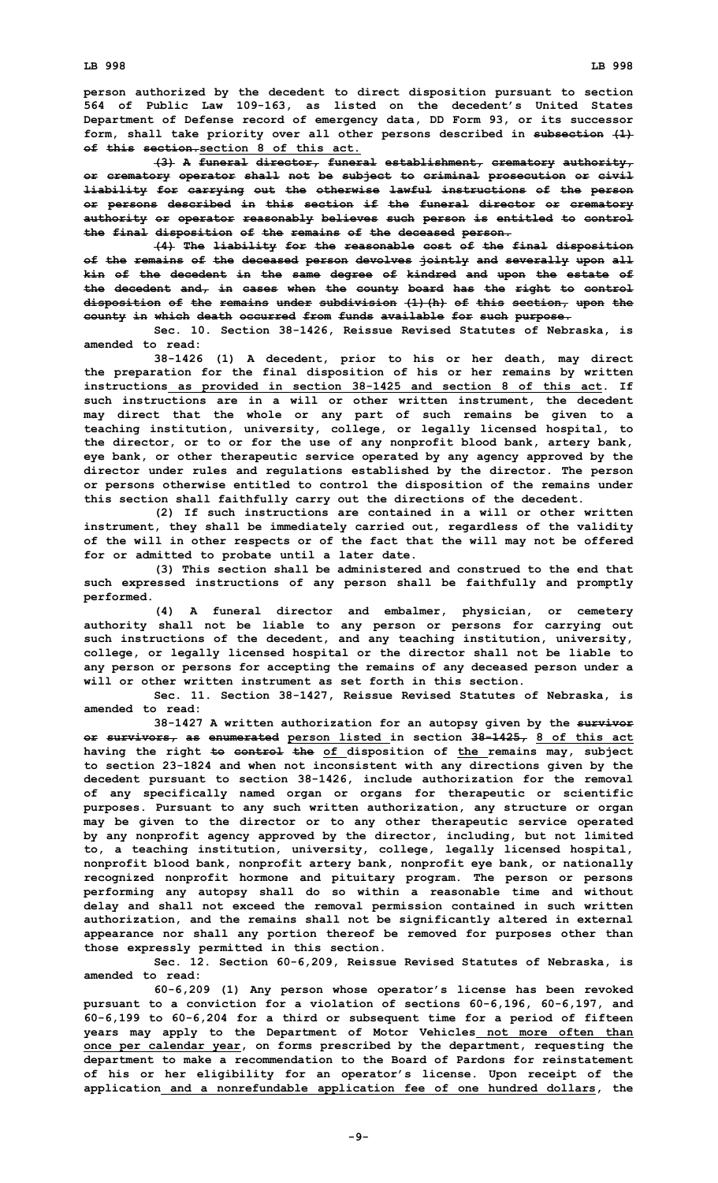**person authorized by the decedent to direct disposition pursuant to section 564 of Public Law 109-163, as listed on the decedent's United States Department of Defense record of emergency data, DD Form 93, or its successor form, shall take priority over all other persons described in subsection (1) of this section.section 8 of this act.**

**(3) <sup>A</sup> funeral director, funeral establishment, crematory authority, or crematory operator shall not be subject to criminal prosecution or civil liability for carrying out the otherwise lawful instructions of the person or persons described in this section if the funeral director or crematory authority or operator reasonably believes such person is entitled to control the final disposition of the remains of the deceased person.**

**(4) The liability for the reasonable cost of the final disposition of the remains of the deceased person devolves jointly and severally upon all kin of the decedent in the same degree of kindred and upon the estate of the decedent and, in cases when the county board has the right to control disposition of the remains under subdivision (1)(h) of this section, upon the county in which death occurred from funds available for such purpose.**

**Sec. 10. Section 38-1426, Reissue Revised Statutes of Nebraska, is amended to read:**

**38-1426 (1) <sup>A</sup> decedent, prior to his or her death, may direct the preparation for the final disposition of his or her remains by written instructions as provided in section 38-1425 and section 8 of this act. If such instructions are in <sup>a</sup> will or other written instrument, the decedent may direct that the whole or any part of such remains be given to <sup>a</sup> teaching institution, university, college, or legally licensed hospital, to the director, or to or for the use of any nonprofit blood bank, artery bank, eye bank, or other therapeutic service operated by any agency approved by the director under rules and regulations established by the director. The person or persons otherwise entitled to control the disposition of the remains under this section shall faithfully carry out the directions of the decedent.**

**(2) If such instructions are contained in <sup>a</sup> will or other written instrument, they shall be immediately carried out, regardless of the validity of the will in other respects or of the fact that the will may not be offered for or admitted to probate until <sup>a</sup> later date.**

**(3) This section shall be administered and construed to the end that such expressed instructions of any person shall be faithfully and promptly performed.**

**(4) <sup>A</sup> funeral director and embalmer, physician, or cemetery authority shall not be liable to any person or persons for carrying out such instructions of the decedent, and any teaching institution, university, college, or legally licensed hospital or the director shall not be liable to any person or persons for accepting the remains of any deceased person under <sup>a</sup> will or other written instrument as set forth in this section.**

**Sec. 11. Section 38-1427, Reissue Revised Statutes of Nebraska, is amended to read:**

**38-1427 <sup>A</sup> written authorization for an autopsy given by the survivor or survivors, as enumerated person listed in section 38-1425, 8 of this act having the right to control the of disposition of the remains may, subject to section 23-1824 and when not inconsistent with any directions given by the decedent pursuant to section 38-1426, include authorization for the removal of any specifically named organ or organs for therapeutic or scientific purposes. Pursuant to any such written authorization, any structure or organ may be given to the director or to any other therapeutic service operated by any nonprofit agency approved by the director, including, but not limited to, <sup>a</sup> teaching institution, university, college, legally licensed hospital, nonprofit blood bank, nonprofit artery bank, nonprofit eye bank, or nationally recognized nonprofit hormone and pituitary program. The person or persons performing any autopsy shall do so within <sup>a</sup> reasonable time and without delay and shall not exceed the removal permission contained in such written authorization, and the remains shall not be significantly altered in external appearance nor shall any portion thereof be removed for purposes other than those expressly permitted in this section.**

**Sec. 12. Section 60-6,209, Reissue Revised Statutes of Nebraska, is amended to read:**

**60-6,209 (1) Any person whose operator's license has been revoked pursuant to <sup>a</sup> conviction for <sup>a</sup> violation of sections 60-6,196, 60-6,197, and 60-6,199 to 60-6,204 for <sup>a</sup> third or subsequent time for <sup>a</sup> period of fifteen years may apply to the Department of Motor Vehicles not more often than once per calendar year, on forms prescribed by the department, requesting the department to make <sup>a</sup> recommendation to the Board of Pardons for reinstatement of his or her eligibility for an operator's license. Upon receipt of the application and <sup>a</sup> nonrefundable application fee of one hundred dollars, the**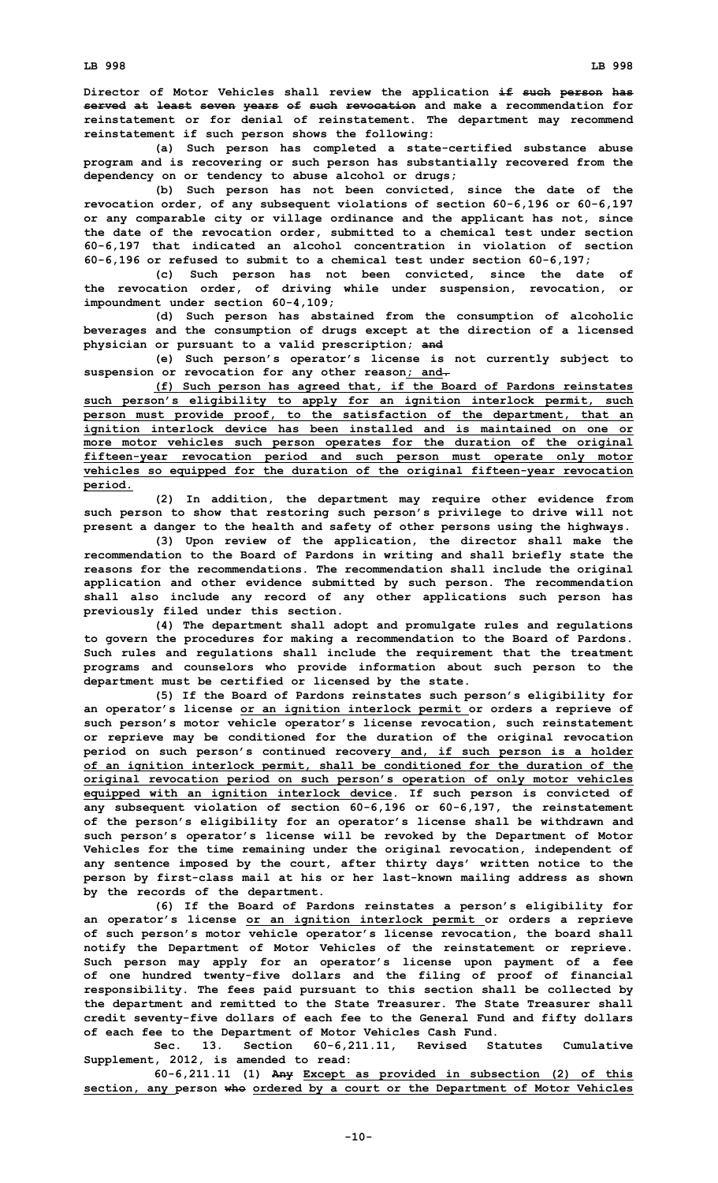**Director of Motor Vehicles shall review the application if such person has served at least seven years of such revocation and make <sup>a</sup> recommendation for reinstatement or for denial of reinstatement. The department may recommend reinstatement if such person shows the following:**

**(a) Such person has completed <sup>a</sup> state-certified substance abuse program and is recovering or such person has substantially recovered from the dependency on or tendency to abuse alcohol or drugs;**

**(b) Such person has not been convicted, since the date of the revocation order, of any subsequent violations of section 60-6,196 or 60-6,197 or any comparable city or village ordinance and the applicant has not, since the date of the revocation order, submitted to <sup>a</sup> chemical test under section 60-6,197 that indicated an alcohol concentration in violation of section 60-6,196 or refused to submit to <sup>a</sup> chemical test under section 60-6,197;**

**(c) Such person has not been convicted, since the date of the revocation order, of driving while under suspension, revocation, or impoundment under section 60-4,109;**

**(d) Such person has abstained from the consumption of alcoholic beverages and the consumption of drugs except at the direction of <sup>a</sup> licensed physician or pursuant to <sup>a</sup> valid prescription; and**

**(e) Such person's operator's license is not currently subject to suspension or revocation for any other reason; and.**

**(f) Such person has agreed that, if the Board of Pardons reinstates such person's eligibility to apply for an ignition interlock permit, such person must provide proof, to the satisfaction of the department, that an ignition interlock device has been installed and is maintained on one or more motor vehicles such person operates for the duration of the original fifteen-year revocation period and such person must operate only motor vehicles so equipped for the duration of the original fifteen-year revocation period.**

**(2) In addition, the department may require other evidence from such person to show that restoring such person's privilege to drive will not present <sup>a</sup> danger to the health and safety of other persons using the highways.**

**(3) Upon review of the application, the director shall make the recommendation to the Board of Pardons in writing and shall briefly state the reasons for the recommendations. The recommendation shall include the original application and other evidence submitted by such person. The recommendation shall also include any record of any other applications such person has previously filed under this section.**

**(4) The department shall adopt and promulgate rules and regulations to govern the procedures for making <sup>a</sup> recommendation to the Board of Pardons. Such rules and regulations shall include the requirement that the treatment programs and counselors who provide information about such person to the department must be certified or licensed by the state.**

**(5) If the Board of Pardons reinstates such person's eligibility for an operator's license or an ignition interlock permit or orders <sup>a</sup> reprieve of such person's motor vehicle operator's license revocation, such reinstatement or reprieve may be conditioned for the duration of the original revocation period on such person's continued recovery and, if such person is <sup>a</sup> holder of an ignition interlock permit, shall be conditioned for the duration of the original revocation period on such person's operation of only motor vehicles equipped with an ignition interlock device. If such person is convicted of any subsequent violation of section 60-6,196 or 60-6,197, the reinstatement of the person's eligibility for an operator's license shall be withdrawn and such person's operator's license will be revoked by the Department of Motor Vehicles for the time remaining under the original revocation, independent of any sentence imposed by the court, after thirty days' written notice to the person by first-class mail at his or her last-known mailing address as shown by the records of the department.**

**(6) If the Board of Pardons reinstates <sup>a</sup> person's eligibility for an operator's license or an ignition interlock permit or orders <sup>a</sup> reprieve of such person's motor vehicle operator's license revocation, the board shall notify the Department of Motor Vehicles of the reinstatement or reprieve. Such person may apply for an operator's license upon payment of <sup>a</sup> fee of one hundred twenty-five dollars and the filing of proof of financial responsibility. The fees paid pursuant to this section shall be collected by the department and remitted to the State Treasurer. The State Treasurer shall credit seventy-five dollars of each fee to the General Fund and fifty dollars of each fee to the Department of Motor Vehicles Cash Fund.**

**Sec. 13. Section 60-6,211.11, Revised Statutes Cumulative Supplement, 2012, is amended to read:**

**60-6,211.11 (1) Any Except as provided in subsection (2) of this section, any person who ordered by <sup>a</sup> court or the Department of Motor Vehicles**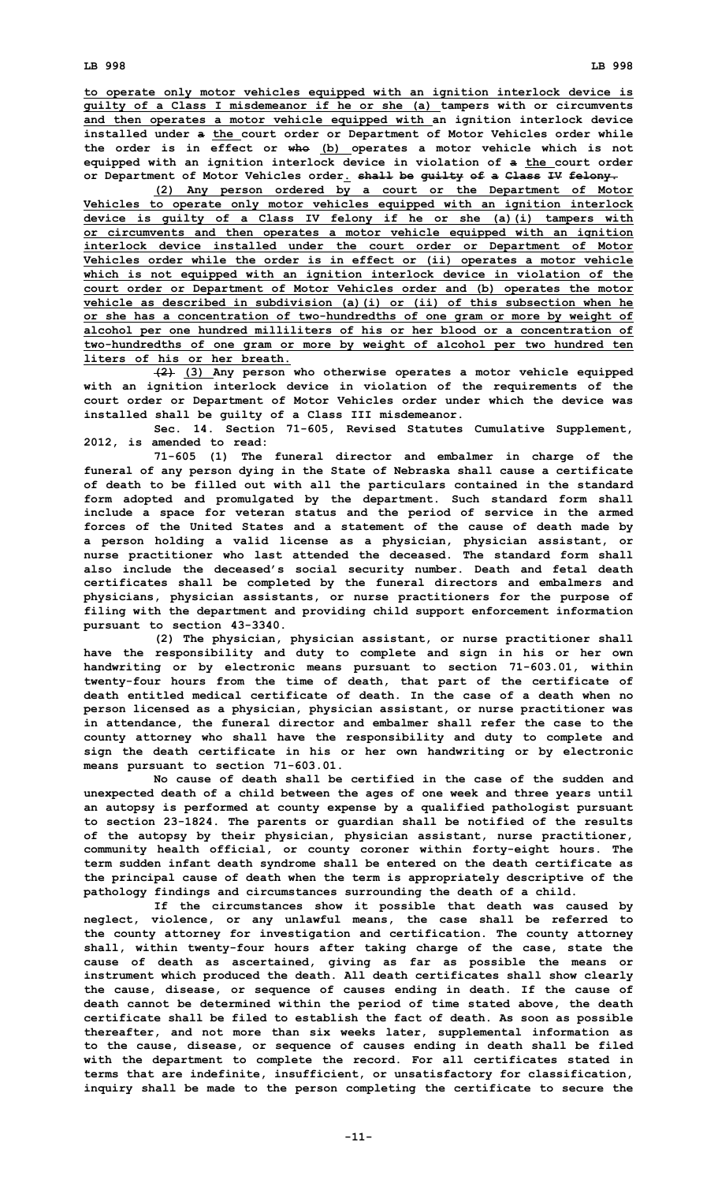**to operate only motor vehicles equipped with an ignition interlock device is guilty of <sup>a</sup> Class <sup>I</sup> misdemeanor if he or she (a) tampers with or circumvents and then operates <sup>a</sup> motor vehicle equipped with an ignition interlock device installed under <sup>a</sup> the court order or Department of Motor Vehicles order while the order is in effect or who (b) operates <sup>a</sup> motor vehicle which is not equipped with an ignition interlock device in violation of <sup>a</sup> the court order or Department of Motor Vehicles order. shall be guilty of <sup>a</sup> Class IV felony.**

**(2) Any person ordered by <sup>a</sup> court or the Department of Motor Vehicles to operate only motor vehicles equipped with an ignition interlock device is guilty of <sup>a</sup> Class IV felony if he or she (a)(i) tampers with or circumvents and then operates <sup>a</sup> motor vehicle equipped with an ignition interlock device installed under the court order or Department of Motor Vehicles order while the order is in effect or (ii) operates <sup>a</sup> motor vehicle which is not equipped with an ignition interlock device in violation of the court order or Department of Motor Vehicles order and (b) operates the motor vehicle as described in subdivision (a)(i) or (ii) of this subsection when he or she has <sup>a</sup> concentration of two-hundredths of one gram or more by weight of alcohol per one hundred milliliters of his or her blood or <sup>a</sup> concentration of two-hundredths of one gram or more by weight of alcohol per two hundred ten liters of his or her breath.**

**(2) (3) Any person who otherwise operates <sup>a</sup> motor vehicle equipped with an ignition interlock device in violation of the requirements of the court order or Department of Motor Vehicles order under which the device was installed shall be guilty of <sup>a</sup> Class III misdemeanor.**

**Sec. 14. Section 71-605, Revised Statutes Cumulative Supplement, 2012, is amended to read:**

**71-605 (1) The funeral director and embalmer in charge of the funeral of any person dying in the State of Nebraska shall cause <sup>a</sup> certificate of death to be filled out with all the particulars contained in the standard form adopted and promulgated by the department. Such standard form shall include <sup>a</sup> space for veteran status and the period of service in the armed forces of the United States and <sup>a</sup> statement of the cause of death made by <sup>a</sup> person holding <sup>a</sup> valid license as <sup>a</sup> physician, physician assistant, or nurse practitioner who last attended the deceased. The standard form shall also include the deceased's social security number. Death and fetal death certificates shall be completed by the funeral directors and embalmers and physicians, physician assistants, or nurse practitioners for the purpose of filing with the department and providing child support enforcement information pursuant to section 43-3340.**

**(2) The physician, physician assistant, or nurse practitioner shall have the responsibility and duty to complete and sign in his or her own handwriting or by electronic means pursuant to section 71-603.01, within twenty-four hours from the time of death, that part of the certificate of death entitled medical certificate of death. In the case of a death when no person licensed as <sup>a</sup> physician, physician assistant, or nurse practitioner was in attendance, the funeral director and embalmer shall refer the case to the county attorney who shall have the responsibility and duty to complete and sign the death certificate in his or her own handwriting or by electronic means pursuant to section 71-603.01.**

**No cause of death shall be certified in the case of the sudden and unexpected death of <sup>a</sup> child between the ages of one week and three years until an autopsy is performed at county expense by <sup>a</sup> qualified pathologist pursuant to section 23-1824. The parents or guardian shall be notified of the results of the autopsy by their physician, physician assistant, nurse practitioner, community health official, or county coroner within forty-eight hours. The term sudden infant death syndrome shall be entered on the death certificate as the principal cause of death when the term is appropriately descriptive of the pathology findings and circumstances surrounding the death of <sup>a</sup> child.**

**If the circumstances show it possible that death was caused by neglect, violence, or any unlawful means, the case shall be referred to the county attorney for investigation and certification. The county attorney shall, within twenty-four hours after taking charge of the case, state the cause of death as ascertained, giving as far as possible the means or instrument which produced the death. All death certificates shall show clearly the cause, disease, or sequence of causes ending in death. If the cause of death cannot be determined within the period of time stated above, the death certificate shall be filed to establish the fact of death. As soon as possible thereafter, and not more than six weeks later, supplemental information as to the cause, disease, or sequence of causes ending in death shall be filed with the department to complete the record. For all certificates stated in terms that are indefinite, insufficient, or unsatisfactory for classification, inquiry shall be made to the person completing the certificate to secure the**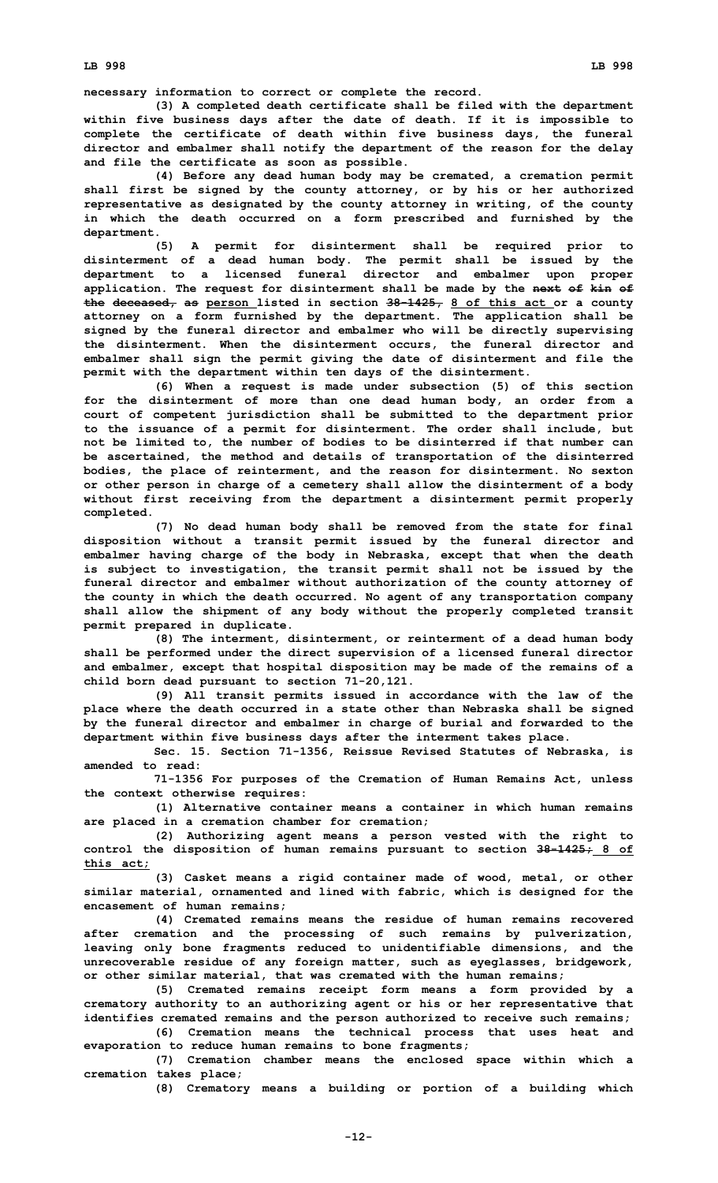**necessary information to correct or complete the record.**

**(3) <sup>A</sup> completed death certificate shall be filed with the department within five business days after the date of death. If it is impossible to complete the certificate of death within five business days, the funeral director and embalmer shall notify the department of the reason for the delay and file the certificate as soon as possible.**

**(4) Before any dead human body may be cremated, <sup>a</sup> cremation permit shall first be signed by the county attorney, or by his or her authorized representative as designated by the county attorney in writing, of the county in which the death occurred on <sup>a</sup> form prescribed and furnished by the department.**

**(5) <sup>A</sup> permit for disinterment shall be required prior to disinterment of <sup>a</sup> dead human body. The permit shall be issued by the department to <sup>a</sup> licensed funeral director and embalmer upon proper application. The request for disinterment shall be made by the next of kin of the deceased, as person listed in section 38-1425, 8 of this act or <sup>a</sup> county attorney on <sup>a</sup> form furnished by the department. The application shall be signed by the funeral director and embalmer who will be directly supervising the disinterment. When the disinterment occurs, the funeral director and embalmer shall sign the permit giving the date of disinterment and file the permit with the department within ten days of the disinterment.**

**(6) When <sup>a</sup> request is made under subsection (5) of this section for the disinterment of more than one dead human body, an order from <sup>a</sup> court of competent jurisdiction shall be submitted to the department prior to the issuance of <sup>a</sup> permit for disinterment. The order shall include, but not be limited to, the number of bodies to be disinterred if that number can be ascertained, the method and details of transportation of the disinterred bodies, the place of reinterment, and the reason for disinterment. No sexton or other person in charge of <sup>a</sup> cemetery shall allow the disinterment of <sup>a</sup> body without first receiving from the department <sup>a</sup> disinterment permit properly completed.**

**(7) No dead human body shall be removed from the state for final disposition without <sup>a</sup> transit permit issued by the funeral director and embalmer having charge of the body in Nebraska, except that when the death is subject to investigation, the transit permit shall not be issued by the funeral director and embalmer without authorization of the county attorney of the county in which the death occurred. No agent of any transportation company shall allow the shipment of any body without the properly completed transit permit prepared in duplicate.**

**(8) The interment, disinterment, or reinterment of <sup>a</sup> dead human body shall be performed under the direct supervision of <sup>a</sup> licensed funeral director and embalmer, except that hospital disposition may be made of the remains of <sup>a</sup> child born dead pursuant to section 71-20,121.**

**(9) All transit permits issued in accordance with the law of the place where the death occurred in <sup>a</sup> state other than Nebraska shall be signed by the funeral director and embalmer in charge of burial and forwarded to the department within five business days after the interment takes place.**

**Sec. 15. Section 71-1356, Reissue Revised Statutes of Nebraska, is amended to read:**

**71-1356 For purposes of the Cremation of Human Remains Act, unless the context otherwise requires:**

**(1) Alternative container means <sup>a</sup> container in which human remains are placed in <sup>a</sup> cremation chamber for cremation;**

**(2) Authorizing agent means <sup>a</sup> person vested with the right to control the disposition of human remains pursuant to section 38-1425; 8 of this act;**

**(3) Casket means <sup>a</sup> rigid container made of wood, metal, or other similar material, ornamented and lined with fabric, which is designed for the encasement of human remains;**

**(4) Cremated remains means the residue of human remains recovered after cremation and the processing of such remains by pulverization, leaving only bone fragments reduced to unidentifiable dimensions, and the unrecoverable residue of any foreign matter, such as eyeglasses, bridgework, or other similar material, that was cremated with the human remains;**

**(5) Cremated remains receipt form means <sup>a</sup> form provided by <sup>a</sup> crematory authority to an authorizing agent or his or her representative that identifies cremated remains and the person authorized to receive such remains; (6) Cremation means the technical process that uses heat and**

**evaporation to reduce human remains to bone fragments;**

**(7) Cremation chamber means the enclosed space within which <sup>a</sup> cremation takes place;**

**(8) Crematory means <sup>a</sup> building or portion of <sup>a</sup> building which**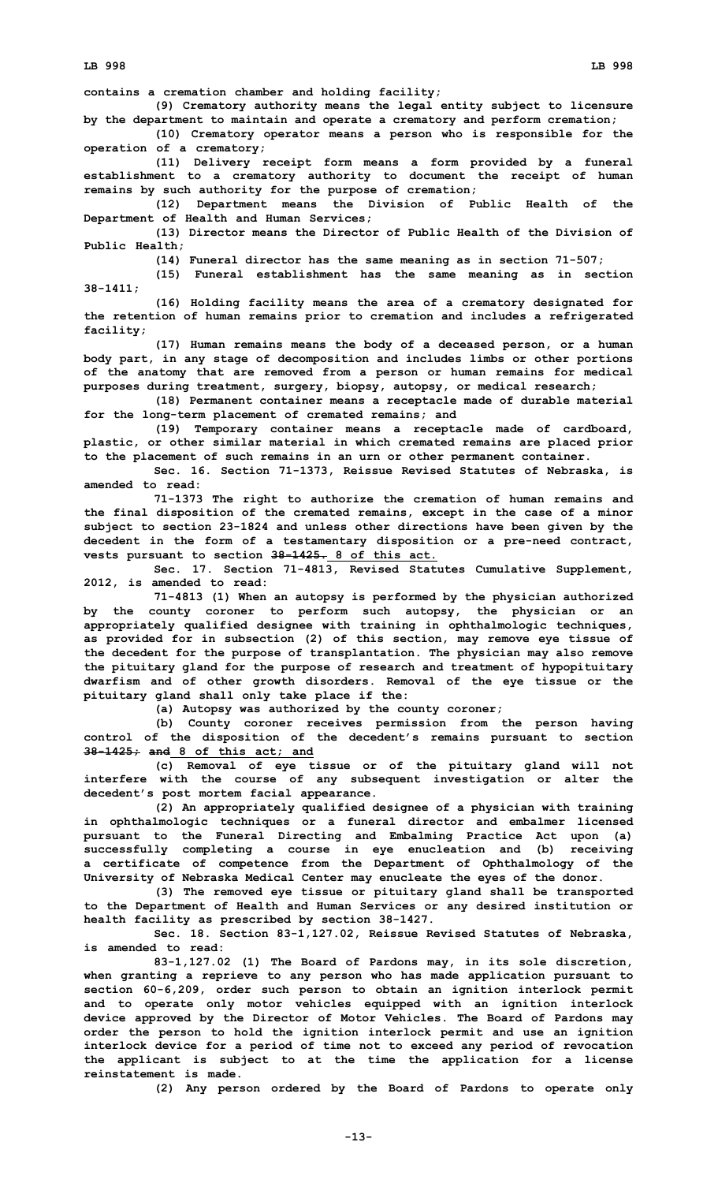**contains <sup>a</sup> cremation chamber and holding facility;**

**(9) Crematory authority means the legal entity subject to licensure by the department to maintain and operate <sup>a</sup> crematory and perform cremation;**

**(10) Crematory operator means <sup>a</sup> person who is responsible for the operation of <sup>a</sup> crematory;**

**(11) Delivery receipt form means <sup>a</sup> form provided by <sup>a</sup> funeral establishment to <sup>a</sup> crematory authority to document the receipt of human remains by such authority for the purpose of cremation;**

**(12) Department means the Division of Public Health of the Department of Health and Human Services;**

**(13) Director means the Director of Public Health of the Division of Public Health;**

**(14) Funeral director has the same meaning as in section 71-507;**

**(15) Funeral establishment has the same meaning as in section 38-1411;**

**(16) Holding facility means the area of <sup>a</sup> crematory designated for the retention of human remains prior to cremation and includes <sup>a</sup> refrigerated facility;**

**(17) Human remains means the body of <sup>a</sup> deceased person, or <sup>a</sup> human body part, in any stage of decomposition and includes limbs or other portions of the anatomy that are removed from <sup>a</sup> person or human remains for medical purposes during treatment, surgery, biopsy, autopsy, or medical research;**

**(18) Permanent container means <sup>a</sup> receptacle made of durable material for the long-term placement of cremated remains; and**

**(19) Temporary container means <sup>a</sup> receptacle made of cardboard, plastic, or other similar material in which cremated remains are placed prior to the placement of such remains in an urn or other permanent container.**

**Sec. 16. Section 71-1373, Reissue Revised Statutes of Nebraska, is amended to read:**

**71-1373 The right to authorize the cremation of human remains and the final disposition of the cremated remains, except in the case of <sup>a</sup> minor subject to section 23-1824 and unless other directions have been given by the decedent in the form of <sup>a</sup> testamentary disposition or <sup>a</sup> pre-need contract, vests pursuant to section 38-1425. 8 of this act.**

**Sec. 17. Section 71-4813, Revised Statutes Cumulative Supplement, 2012, is amended to read:**

**71-4813 (1) When an autopsy is performed by the physician authorized by the county coroner to perform such autopsy, the physician or an appropriately qualified designee with training in ophthalmologic techniques, as provided for in subsection (2) of this section, may remove eye tissue of the decedent for the purpose of transplantation. The physician may also remove the pituitary gland for the purpose of research and treatment of hypopituitary dwarfism and of other growth disorders. Removal of the eye tissue or the pituitary gland shall only take place if the:**

**(a) Autopsy was authorized by the county coroner;**

**(b) County coroner receives permission from the person having control of the disposition of the decedent's remains pursuant to section 38-1425; and 8 of this act; and**

**(c) Removal of eye tissue or of the pituitary gland will not interfere with the course of any subsequent investigation or alter the decedent's post mortem facial appearance.**

**(2) An appropriately qualified designee of <sup>a</sup> physician with training in ophthalmologic techniques or <sup>a</sup> funeral director and embalmer licensed pursuant to the Funeral Directing and Embalming Practice Act upon (a) successfully completing <sup>a</sup> course in eye enucleation and (b) receiving <sup>a</sup> certificate of competence from the Department of Ophthalmology of the University of Nebraska Medical Center may enucleate the eyes of the donor.**

**(3) The removed eye tissue or pituitary gland shall be transported to the Department of Health and Human Services or any desired institution or health facility as prescribed by section 38-1427.**

**Sec. 18. Section 83-1,127.02, Reissue Revised Statutes of Nebraska, is amended to read:**

**83-1,127.02 (1) The Board of Pardons may, in its sole discretion, when granting <sup>a</sup> reprieve to any person who has made application pursuant to section 60-6,209, order such person to obtain an ignition interlock permit and to operate only motor vehicles equipped with an ignition interlock device approved by the Director of Motor Vehicles. The Board of Pardons may order the person to hold the ignition interlock permit and use an ignition interlock device for <sup>a</sup> period of time not to exceed any period of revocation the applicant is subject to at the time the application for <sup>a</sup> license reinstatement is made.**

**(2) Any person ordered by the Board of Pardons to operate only**